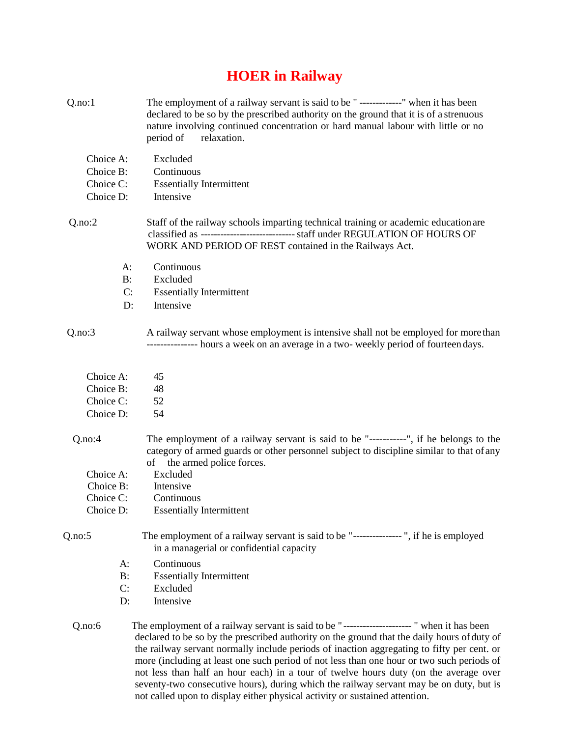## **HOER in Railway**

| Q.no:1    | The employment of a railway servant is said to be " -------------" when it has been<br>declared to be so by the prescribed authority on the ground that it is of a strenuous<br>nature involving continued concentration or hard manual labour with little or no<br>relaxation.<br>period of                                                                                                                                                                                                                                                                            |
|-----------|-------------------------------------------------------------------------------------------------------------------------------------------------------------------------------------------------------------------------------------------------------------------------------------------------------------------------------------------------------------------------------------------------------------------------------------------------------------------------------------------------------------------------------------------------------------------------|
| Choice A: | Excluded                                                                                                                                                                                                                                                                                                                                                                                                                                                                                                                                                                |
| Choice B: | Continuous                                                                                                                                                                                                                                                                                                                                                                                                                                                                                                                                                              |
| Choice C: | <b>Essentially Intermittent</b>                                                                                                                                                                                                                                                                                                                                                                                                                                                                                                                                         |
| Choice D: | Intensive                                                                                                                                                                                                                                                                                                                                                                                                                                                                                                                                                               |
| Q.no:2    | Staff of the railway schools imparting technical training or academic education are<br>classified as ------------------------------- staff under REGULATION OF HOURS OF<br>WORK AND PERIOD OF REST contained in the Railways Act.                                                                                                                                                                                                                                                                                                                                       |
|           | A:<br>Continuous                                                                                                                                                                                                                                                                                                                                                                                                                                                                                                                                                        |
|           | Excluded<br>$B$ :                                                                                                                                                                                                                                                                                                                                                                                                                                                                                                                                                       |
|           | C:<br><b>Essentially Intermittent</b>                                                                                                                                                                                                                                                                                                                                                                                                                                                                                                                                   |
|           | Intensive<br>D:                                                                                                                                                                                                                                                                                                                                                                                                                                                                                                                                                         |
| Q.no:3    | A railway servant whose employment is intensive shall not be employed for more than<br>--------------- hours a week on an average in a two- weekly period of fourteen days.                                                                                                                                                                                                                                                                                                                                                                                             |
| Choice A: | 45                                                                                                                                                                                                                                                                                                                                                                                                                                                                                                                                                                      |
| Choice B: | 48                                                                                                                                                                                                                                                                                                                                                                                                                                                                                                                                                                      |
| Choice C: | 52                                                                                                                                                                                                                                                                                                                                                                                                                                                                                                                                                                      |
| Choice D: | 54                                                                                                                                                                                                                                                                                                                                                                                                                                                                                                                                                                      |
| Q.no:4    | The employment of a railway servant is said to be "-----------", if he belongs to the<br>category of armed guards or other personnel subject to discipline similar to that of any<br>the armed police forces.<br>of                                                                                                                                                                                                                                                                                                                                                     |
| Choice A: | Excluded                                                                                                                                                                                                                                                                                                                                                                                                                                                                                                                                                                |
| Choice B: | Intensive                                                                                                                                                                                                                                                                                                                                                                                                                                                                                                                                                               |
| Choice C: | Continuous                                                                                                                                                                                                                                                                                                                                                                                                                                                                                                                                                              |
| Choice D: | <b>Essentially Intermittent</b>                                                                                                                                                                                                                                                                                                                                                                                                                                                                                                                                         |
| Q.no:5    | The employment of a railway servant is said to be "---------------", if he is employed<br>in a managerial or confidential capacity                                                                                                                                                                                                                                                                                                                                                                                                                                      |
| A:        | Continuous                                                                                                                                                                                                                                                                                                                                                                                                                                                                                                                                                              |
| B:        | <b>Essentially Intermittent</b>                                                                                                                                                                                                                                                                                                                                                                                                                                                                                                                                         |
| C:        | Excluded                                                                                                                                                                                                                                                                                                                                                                                                                                                                                                                                                                |
| D:        | Intensive                                                                                                                                                                                                                                                                                                                                                                                                                                                                                                                                                               |
| Q.no:6    | The employment of a railway servant is said to be "---------------------" when it has been<br>declared to be so by the prescribed authority on the ground that the daily hours of duty of<br>the railway servant normally include periods of inaction aggregating to fifty per cent. or<br>more (including at least one such period of not less than one hour or two such periods of<br>not less than half an hour each) in a tour of twelve hours duty (on the average over<br>seventy-two consecutive hours), during which the railway servant may be on duty, but is |

not called upon to display either physical activity or sustained attention.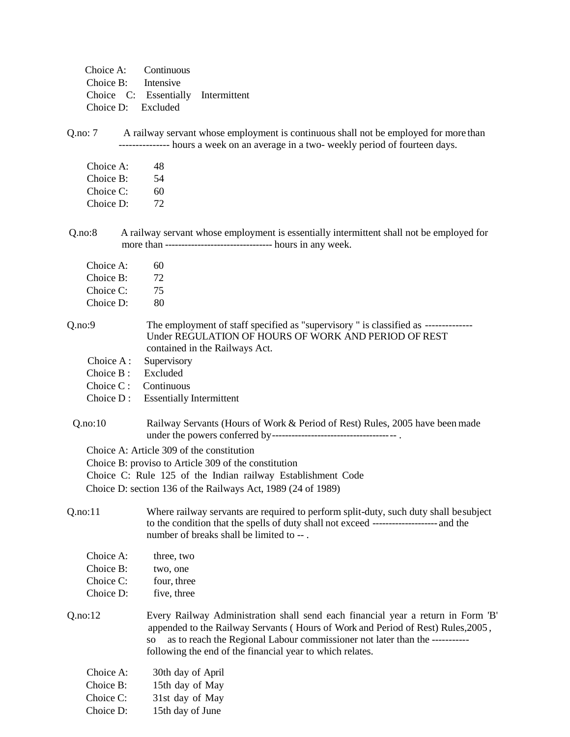| Choice A: Continuous |                                    |  |
|----------------------|------------------------------------|--|
| Choice B: Intensive  |                                    |  |
|                      | Choice C: Essentially Intermittent |  |
| Choice D: Excluded   |                                    |  |

Q.no: 7 A railway servant whose employment is continuous shall not be employed for more than --------------- hours a week on an average in a two- weekly period of fourteen days.

| Choice A: | 48 |
|-----------|----|
| Choice B: | 54 |
| Choice C: | 60 |
| Choice D: | 72 |

Q.no:8 A railway servant whose employment is essentially intermittent shall not be employed for more than --------------------------------- hours in any week.

| Choice A:<br>Choice B: | 60<br>72       |
|------------------------|----------------|
| Choice C:              | 75             |
| Choice D:              | 80             |
| 0:9                    | The $\epsilon$ |

Q.no:9 The employment of staff specified as "supervisory " is classified as -------------- Under REGULATION OF HOURS OF WORK AND PERIOD OF REST contained in the Railways Act.

- Choice A : Supervisory
- Choice B : Excluded
- Choice C : Continuous
- Choice D : Essentially Intermittent

Q.no:10 Railway Servants (Hours of Work & Period of Rest) Rules, 2005 have been made under the powers conferred by-------------------------------------- .

Choice A: Article 309 of the constitution

Choice B: proviso to Article 309 of the constitution

Choice C: Rule 125 of the Indian railway Establishment Code

Choice D: section 136 of the Railways Act, 1989 (24 of 1989)

Q.no:11 Where railway servants are required to perform split-duty, such duty shall besubject to the condition that the spells of duty shall not exceed -------------------- and the number of breaks shall be limited to -- .

| Choice A: | three, two  |
|-----------|-------------|
| Choice B: | two, one    |
| Choice C: | four, three |
| Choice D: | five, three |
|           |             |

Q.no:12 Every Railway Administration shall send each financial year a return in Form 'B' appended to the Railway Servants ( Hours of Work and Period of Rest) Rules,2005 , so as to reach the Regional Labour commissioner not later than the ---------- following the end of the financial year to which relates.

| Choice A: | 30th day of April |
|-----------|-------------------|
| Choice B: | 15th day of May   |
| Choice C: | 31st day of May   |
| Choice D: | 15th day of June  |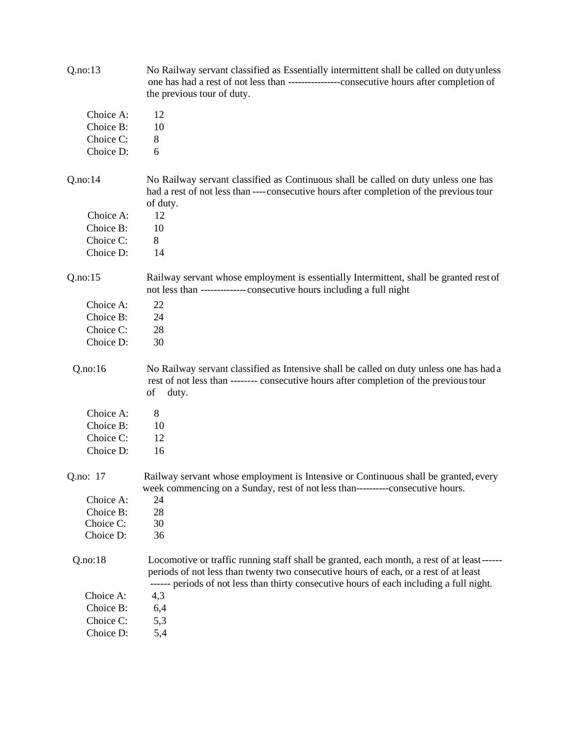| Q.no:13                | No Railway servant classified as Essentially intermittent shall be called on duty unless<br>one has had a rest of not less than -----------------consecutive hours after completion of<br>the previous tour of duty.                                                           |
|------------------------|--------------------------------------------------------------------------------------------------------------------------------------------------------------------------------------------------------------------------------------------------------------------------------|
| Choice A:              | 12                                                                                                                                                                                                                                                                             |
| Choice B:              | 10                                                                                                                                                                                                                                                                             |
| Choice C:              | 8                                                                                                                                                                                                                                                                              |
| Choice D:              | 6                                                                                                                                                                                                                                                                              |
| Q.no:14                | No Railway servant classified as Continuous shall be called on duty unless one has<br>had a rest of not less than ---- consecutive hours after completion of the previous tour<br>of duty.                                                                                     |
| Choice A:              | 12                                                                                                                                                                                                                                                                             |
| Choice B:              | 10                                                                                                                                                                                                                                                                             |
| Choice C:              | 8                                                                                                                                                                                                                                                                              |
| Choice D:              | 14                                                                                                                                                                                                                                                                             |
| Q.no:15                | Railway servant whose employment is essentially Intermittent, shall be granted rest of<br>not less than -------------- consecutive hours including a full night                                                                                                                |
| Choice A:              | 22                                                                                                                                                                                                                                                                             |
| Choice B:              | 24                                                                                                                                                                                                                                                                             |
| Choice C:              | 28                                                                                                                                                                                                                                                                             |
| Choice D:              | 30                                                                                                                                                                                                                                                                             |
| Q.no:16                | No Railway servant classified as Intensive shall be called on duty unless one has had a<br>rest of not less than -------- consecutive hours after completion of the previous tour<br>of<br>duty.                                                                               |
|                        |                                                                                                                                                                                                                                                                                |
|                        |                                                                                                                                                                                                                                                                                |
| Choice A:<br>Choice B: | 8<br>10                                                                                                                                                                                                                                                                        |
| Choice C:              | 12                                                                                                                                                                                                                                                                             |
| Choice D:              | 16                                                                                                                                                                                                                                                                             |
| Q.no: 17               | Railway servant whose employment is Intensive or Continuous shall be granted, every<br>week commencing on a Sunday, rest of not less than----------consecutive hours.                                                                                                          |
| Choice A:              | 24                                                                                                                                                                                                                                                                             |
| Choice B:              | 28                                                                                                                                                                                                                                                                             |
| Choice C:              | 30                                                                                                                                                                                                                                                                             |
| Choice D:              | 36                                                                                                                                                                                                                                                                             |
| Q.no:18                | Locomotive or traffic running staff shall be granted, each month, a rest of at least------<br>periods of not less than twenty two consecutive hours of each, or a rest of at least<br>------ periods of not less than thirty consecutive hours of each including a full night. |
| Choice A:              | 4,3                                                                                                                                                                                                                                                                            |
| Choice B:              | 6,4                                                                                                                                                                                                                                                                            |
| Choice C:<br>Choice D: | 5,3<br>5,4                                                                                                                                                                                                                                                                     |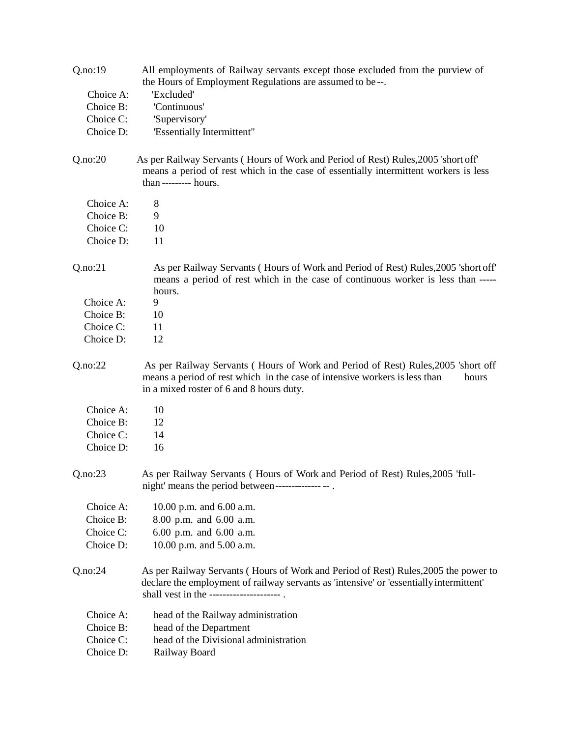| Q.no:19   | All employments of Railway servants except those excluded from the purview of<br>the Hours of Employment Regulations are assumed to be--.                                                                                  |
|-----------|----------------------------------------------------------------------------------------------------------------------------------------------------------------------------------------------------------------------------|
| Choice A: | 'Excluded'                                                                                                                                                                                                                 |
| Choice B: | 'Continuous'                                                                                                                                                                                                               |
| Choice C: | 'Supervisory'                                                                                                                                                                                                              |
| Choice D: | 'Essentially Intermittent"                                                                                                                                                                                                 |
|           |                                                                                                                                                                                                                            |
| Q.no:20   | As per Railway Servants (Hours of Work and Period of Rest) Rules, 2005 'short off'<br>means a period of rest which in the case of essentially intermittent workers is less<br>than --------- hours.                        |
| Choice A: | 8                                                                                                                                                                                                                          |
| Choice B: | 9                                                                                                                                                                                                                          |
| Choice C: | 10                                                                                                                                                                                                                         |
| Choice D: | 11                                                                                                                                                                                                                         |
|           |                                                                                                                                                                                                                            |
| Q.no:21   | As per Railway Servants (Hours of Work and Period of Rest) Rules, 2005 'short off'<br>means a period of rest which in the case of continuous worker is less than -----<br>hours.                                           |
| Choice A: | 9                                                                                                                                                                                                                          |
| Choice B: | 10                                                                                                                                                                                                                         |
| Choice C: | 11                                                                                                                                                                                                                         |
| Choice D: | 12                                                                                                                                                                                                                         |
| Q.no:22   | As per Railway Servants (Hours of Work and Period of Rest) Rules, 2005 'short off<br>means a period of rest which in the case of intensive workers is less than<br>hours<br>in a mixed roster of 6 and 8 hours duty.       |
| Choice A: | 10                                                                                                                                                                                                                         |
| Choice B: | 12                                                                                                                                                                                                                         |
| Choice C: | 14                                                                                                                                                                                                                         |
| Choice D: | 16                                                                                                                                                                                                                         |
|           |                                                                                                                                                                                                                            |
| Q.no:23   | As per Railway Servants (Hours of Work and Period of Rest) Rules, 2005 'full-<br>night' means the period between------------------------                                                                                   |
| Choice A: | 10.00 p.m. and 6.00 a.m.                                                                                                                                                                                                   |
| Choice B: | 8.00 p.m. and 6.00 a.m.                                                                                                                                                                                                    |
| Choice C: | 6.00 p.m. and 6.00 a.m.                                                                                                                                                                                                    |
| Choice D: | 10.00 p.m. and 5.00 a.m.                                                                                                                                                                                                   |
|           |                                                                                                                                                                                                                            |
| Q.no:24   | As per Railway Servants (Hours of Work and Period of Rest) Rules, 2005 the power to<br>declare the employment of railway servants as 'intensive' or 'essentially intermittent'<br>shall vest in the ---------------------- |
| Choice A: | head of the Railway administration                                                                                                                                                                                         |
| Choice B: | head of the Department                                                                                                                                                                                                     |
| Choice C: | head of the Divisional administration                                                                                                                                                                                      |
| Choice D: | Railway Board                                                                                                                                                                                                              |
|           |                                                                                                                                                                                                                            |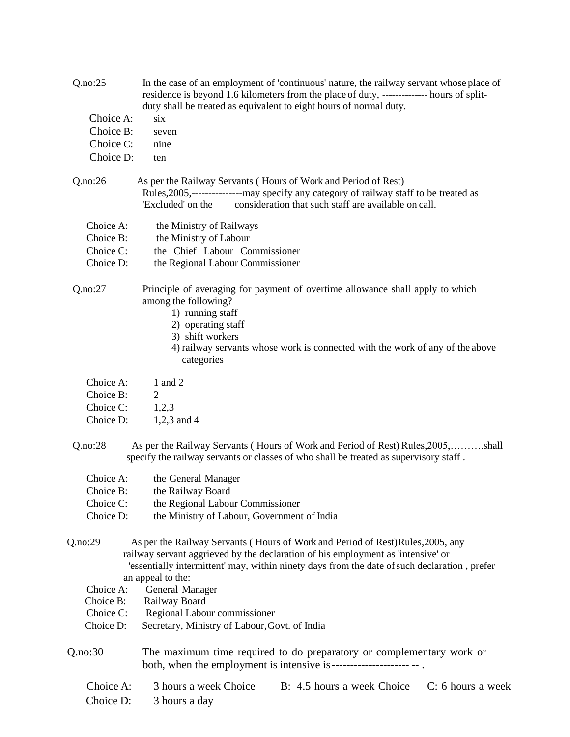| Q.no:25   | In the case of an employment of 'continuous' nature, the railway servant whose place of<br>residence is beyond 1.6 kilometers from the place of duty, -------------- hours of split-<br>duty shall be treated as equivalent to eight hours of normal duty.                               |
|-----------|------------------------------------------------------------------------------------------------------------------------------------------------------------------------------------------------------------------------------------------------------------------------------------------|
| Choice A: | six                                                                                                                                                                                                                                                                                      |
| Choice B: | seven                                                                                                                                                                                                                                                                                    |
| Choice C: | nine                                                                                                                                                                                                                                                                                     |
| Choice D: | ten                                                                                                                                                                                                                                                                                      |
| Q.no:26   | As per the Railway Servants (Hours of Work and Period of Rest)<br>Rules, 2005,-------------------may specify any category of railway staff to be treated as<br>consideration that such staff are available on call.<br>'Excluded' on the                                                 |
| Choice A: | the Ministry of Railways                                                                                                                                                                                                                                                                 |
| Choice B: | the Ministry of Labour                                                                                                                                                                                                                                                                   |
| Choice C: | the Chief Labour Commissioner                                                                                                                                                                                                                                                            |
| Choice D: | the Regional Labour Commissioner                                                                                                                                                                                                                                                         |
| Q.no:27   | Principle of averaging for payment of overtime allowance shall apply to which<br>among the following?<br>1) running staff<br>2) operating staff<br>3) shift workers                                                                                                                      |
|           | 4) railway servants whose work is connected with the work of any of the above<br>categories                                                                                                                                                                                              |
| Choice A: | 1 and 2                                                                                                                                                                                                                                                                                  |
| Choice B: | $\overline{2}$                                                                                                                                                                                                                                                                           |
| Choice C: | 1,2,3                                                                                                                                                                                                                                                                                    |
| Choice D: | $1,2,3$ and 4                                                                                                                                                                                                                                                                            |
| Q.no:28   | As per the Railway Servants (Hours of Work and Period of Rest) Rules, 2005,shall<br>specify the railway servants or classes of who shall be treated as supervisory staff.                                                                                                                |
| Choice A: | the General Manager                                                                                                                                                                                                                                                                      |
| Choice B: | the Railway Board                                                                                                                                                                                                                                                                        |
| Choice C: | the Regional Labour Commissioner                                                                                                                                                                                                                                                         |
| Choice D: | the Ministry of Labour, Government of India                                                                                                                                                                                                                                              |
| Q.no:29   | As per the Railway Servants (Hours of Work and Period of Rest) Rules, 2005, any<br>railway servant aggrieved by the declaration of his employment as 'intensive' or<br>'essentially intermittent' may, within ninety days from the date of such declaration, prefer<br>an appeal to the: |
| Choice A: | General Manager                                                                                                                                                                                                                                                                          |
| Choice B: | Railway Board                                                                                                                                                                                                                                                                            |
| Choice C: | Regional Labour commissioner                                                                                                                                                                                                                                                             |
| Choice D: | Secretary, Ministry of Labour, Govt. of India                                                                                                                                                                                                                                            |
| Q.no:30   | The maximum time required to do preparatory or complementary work or                                                                                                                                                                                                                     |
| Choice A: | B: 4.5 hours a week Choice<br>C: 6 hours a week<br>3 hours a week Choice                                                                                                                                                                                                                 |
| Choice D: | 3 hours a day                                                                                                                                                                                                                                                                            |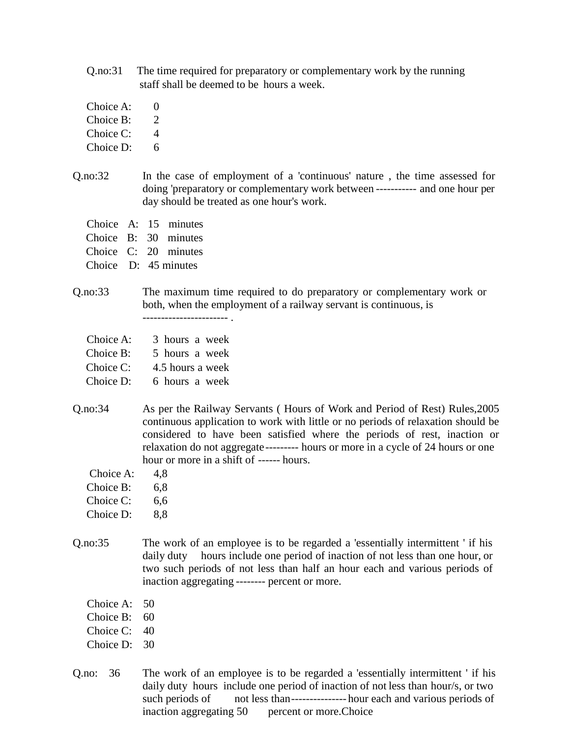- Q.no:31 The time required for preparatory or complementary work by the running staff shall be deemed to be hours a week.
- Choice A: 0
- Choice  $B: 2$
- Choice C: 4
- Choice D: 6
- Q.no:32 In the case of employment of a 'continuous' nature , the time assessed for doing 'preparatory or complementary work between ----------- and one hour per day should be treated as one hour's work.
	- Choice A: 15 minutes
	- Choice B: 30 minutes
	- Choice C: 20 minutes
	- Choice D: 45 minutes
- Q.no:33 The maximum time required to do preparatory or complementary work or both, when the employment of a railway servant is continuous, is ----------------------- .
	- Choice A: 3 hours a week
	- Choice B: 5 hours a week
	- Choice C: 4.5 hours a week
	- Choice D: 6 hours a week
- Q.no:34 As per the Railway Servants ( Hours of Work and Period of Rest) Rules,2005 continuous application to work with little or no periods of relaxation should be considered to have been satisfied where the periods of rest, inaction or relaxation do not aggregate--------- hours or more in a cycle of 24 hours or one hour or more in a shift of ------ hours.
	- Choice A: 4.8
	- Choice B: 6,8
	- Choice C: 6.6
	- Choice D: 8.8
- Q.no:35 The work of an employee is to be regarded a 'essentially intermittent ' if his daily duty hours include one period of inaction of not less than one hour, or two such periods of not less than half an hour each and various periods of inaction aggregating -------- percent or more.
	- Choice A: 50
	- Choice B: 60
	- Choice C: 40
	- Choice D: 30
- Q.no: 36 The work of an employee is to be regarded a 'essentially intermittent ' if his daily duty hours include one period of inaction of not less than hour/s, or two such periods of not less than---------------- hour each and various periods of inaction aggregating 50 percent or more. Choice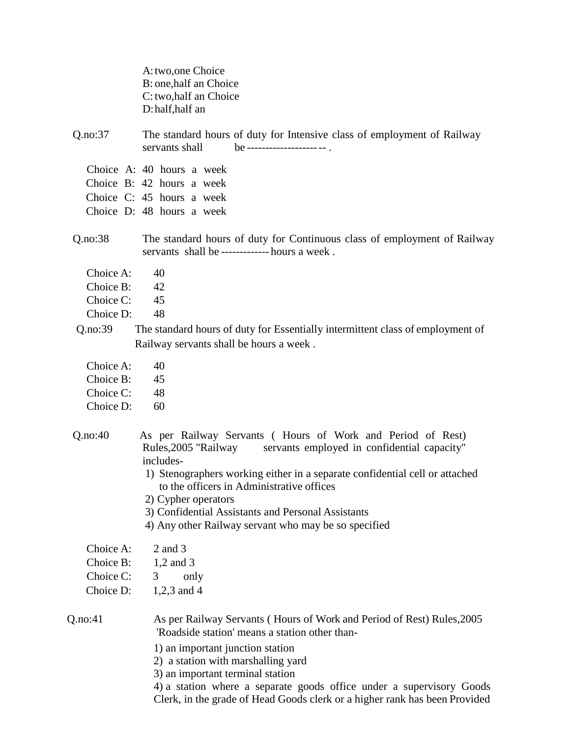|                                                  | A: two, one Choice<br>B: one, half an Choice<br>C: two, half an Choice<br>D: half, half an                                                                                                                                                                                                                                                                                                   |
|--------------------------------------------------|----------------------------------------------------------------------------------------------------------------------------------------------------------------------------------------------------------------------------------------------------------------------------------------------------------------------------------------------------------------------------------------------|
| Q.no:37                                          | The standard hours of duty for Intensive class of employment of Railway<br>servants shall<br>$be$ -------------------- --                                                                                                                                                                                                                                                                    |
|                                                  | Choice A: 40 hours a week                                                                                                                                                                                                                                                                                                                                                                    |
|                                                  | Choice B: 42 hours a week                                                                                                                                                                                                                                                                                                                                                                    |
|                                                  | Choice C: 45 hours a week                                                                                                                                                                                                                                                                                                                                                                    |
|                                                  | Choice D: 48 hours a week                                                                                                                                                                                                                                                                                                                                                                    |
| Q.no:38                                          | The standard hours of duty for Continuous class of employment of Railway<br>servants shall be ------------ hours a week.                                                                                                                                                                                                                                                                     |
| Choice A:                                        | 40                                                                                                                                                                                                                                                                                                                                                                                           |
| Choice B:                                        | 42                                                                                                                                                                                                                                                                                                                                                                                           |
| Choice C:                                        | 45                                                                                                                                                                                                                                                                                                                                                                                           |
| Choice D:                                        | 48                                                                                                                                                                                                                                                                                                                                                                                           |
| Q.no:39                                          | The standard hours of duty for Essentially intermittent class of employment of                                                                                                                                                                                                                                                                                                               |
|                                                  | Railway servants shall be hours a week.                                                                                                                                                                                                                                                                                                                                                      |
| Choice A:                                        | 40                                                                                                                                                                                                                                                                                                                                                                                           |
| Choice B:                                        | 45                                                                                                                                                                                                                                                                                                                                                                                           |
| Choice C:                                        | 48                                                                                                                                                                                                                                                                                                                                                                                           |
| Choice D:                                        | 60                                                                                                                                                                                                                                                                                                                                                                                           |
| Q.no:40                                          | As per Railway Servants (Hours of Work and Period of Rest)<br>Rules, 2005 "Railway<br>servants employed in confidential capacity"<br>includes-<br>1) Stenographers working either in a separate confidential cell or attached<br>to the officers in Administrative offices<br>2) Cypher operators                                                                                            |
|                                                  | 3) Confidential Assistants and Personal Assistants                                                                                                                                                                                                                                                                                                                                           |
|                                                  | 4) Any other Railway servant who may be so specified                                                                                                                                                                                                                                                                                                                                         |
| Choice A:<br>Choice B:<br>Choice C:<br>Choice D: | 2 and 3<br>$1,2$ and 3<br>only<br>3<br>1,2,3 and 4                                                                                                                                                                                                                                                                                                                                           |
| Q.no:41                                          | As per Railway Servants (Hours of Work and Period of Rest) Rules, 2005<br>'Roadside station' means a station other than-<br>1) an important junction station<br>2) a station with marshalling yard<br>3) an important terminal station<br>4) a station where a separate goods office under a supervisory Goods<br>Clerk, in the grade of Head Goods clerk or a higher rank has been Provided |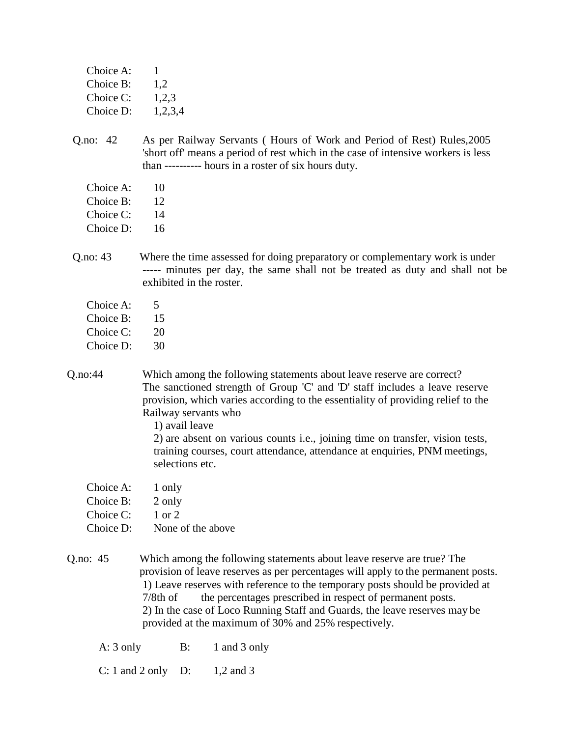| Choice A: | ı       |
|-----------|---------|
| Choice B: | 1,2     |
| Choice C: | 1,2,3   |
| Choice D: | 1,2,3,4 |
|           |         |

- Q.no: 42 As per Railway Servants ( Hours of Work and Period of Rest) Rules,2005 'short off' means a period of rest which in the case of intensive workers is less than ---------- hours in a roster of six hours duty.
	- Choice A: 10
	- Choice B: 12
	- Choice C: 14
	- Choice D: 16
- Q.no: 43 Where the time assessed for doing preparatory or complementary work is under ----- minutes per day, the same shall not be treated as duty and shall not be exhibited in the roster.
	- Choice  $A: 5$
	- Choice B: 15
	- Choice C: 20
	- Choice D: 30
- Q.no:44 Which among the following statements about leave reserve are correct? The sanctioned strength of Group 'C' and 'D' staff includes a leave reserve provision, which varies according to the essentiality of providing relief to the Railway servants who

1) avail leave

2) are absent on various counts i.e., joining time on transfer, vision tests, training courses, court attendance, attendance at enquiries, PNM meetings, selections etc.

- Choice A: 1 only
- Choice B: 2 only
- Choice  $C: 1$  or 2
- Choice D: None of the above
- Q.no: 45 Which among the following statements about leave reserve are true? The provision of leave reserves as per percentages will apply to the permanent posts. 1) Leave reserves with reference to the temporary posts should be provided at 7/8th of the percentages prescribed in respect of permanent posts. 2) In the case of Loco Running Staff and Guards, the leave reserves may be provided at the maximum of 30% and 25% respectively.
	- A: 3 only B: 1 and 3 only

C: 1 and 2 only D:  $1,2$  and 3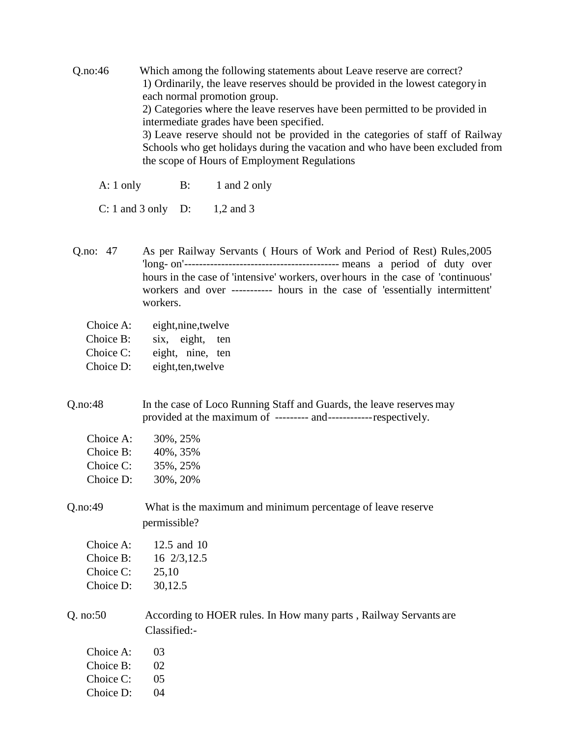Q.no:46 Which among the following statements about Leave reserve are correct? 1) Ordinarily, the leave reserves should be provided in the lowest categoryin each normal promotion group. 2) Categories where the leave reserves have been permitted to be provided in intermediate grades have been specified. 3) Leave reserve should not be provided in the categories of staff of Railway Schools who get holidays during the vacation and who have been excluded from the scope of Hours of Employment Regulations

A: 1 only B: 1 and 2 only

C: 1 and 3 only D: 1,2 and 3

Q.no: 47 As per Railway Servants ( Hours of Work and Period of Rest) Rules,2005 'long- on'------------------------------------------ means a period of duty over hours in the case of 'intensive' workers, over hours in the case of 'continuous' workers and over ----------- hours in the case of 'essentially intermittent' workers.

- Choice A: eight,nine,twelve
- Choice B: six, eight, ten
- Choice C: eight, nine, ten
- Choice D: eight,ten,twelve

Q.no:48 In the case of Loco Running Staff and Guards, the leave reserves may provided at the maximum of --------- and------------respectively.

| Choice A: | 30%, 25% |
|-----------|----------|
| Choice B: | 40%, 35% |
| Choice C: | 35%, 25% |
| Choice D: | 30%, 20% |

## Q.no:49 What is the maximum and minimum percentage of leave reserve permissible?

| Choice A: | 12.5 and 10 |
|-----------|-------------|
| Choice B: | 16 2/3,12.5 |
| Choice C: | 25,10       |
| Choice D: | 30,12.5     |

Q. no:50 According to HOER rules. In How many parts , Railway Servants are Classified:-

| Choice A: | 03   |
|-----------|------|
| Choice B: | 02   |
| Choice C: | (1)5 |
| Choice D: | 04   |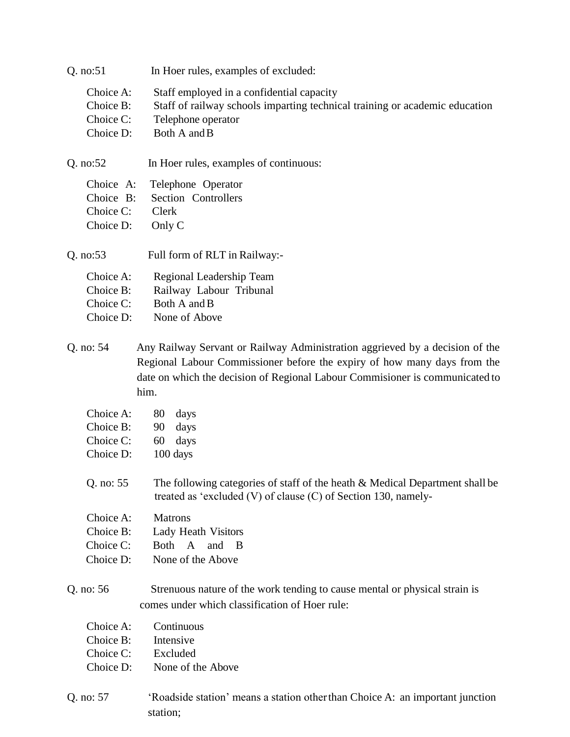| Q. no:51                                         | In Hoer rules, examples of excluded:                                                                                                                                                                                                             |
|--------------------------------------------------|--------------------------------------------------------------------------------------------------------------------------------------------------------------------------------------------------------------------------------------------------|
| Choice A:<br>Choice B:<br>Choice C:<br>Choice D: | Staff employed in a confidential capacity<br>Staff of railway schools imparting technical training or academic education<br>Telephone operator<br>Both A and B                                                                                   |
| Q. no:52                                         | In Hoer rules, examples of continuous:                                                                                                                                                                                                           |
| Choice A:<br>Choice B:<br>Choice C:<br>Choice D: | Telephone Operator<br>Section Controllers<br>Clerk<br>Only C                                                                                                                                                                                     |
| Q. no:53                                         | Full form of RLT in Railway:-                                                                                                                                                                                                                    |
| Choice A:<br>Choice B:<br>Choice C:<br>Choice D: | Regional Leadership Team<br>Railway Labour Tribunal<br>Both A and B<br>None of Above                                                                                                                                                             |
| Q. no: 54                                        | Any Railway Servant or Railway Administration aggrieved by a decision of the<br>Regional Labour Commissioner before the expiry of how many days from the<br>date on which the decision of Regional Labour Commisioner is communicated to<br>him. |
| Choice A:                                        | 80<br>days                                                                                                                                                                                                                                       |
| Choice B:                                        | days<br>90                                                                                                                                                                                                                                       |
| Choice C:                                        | 60<br>days                                                                                                                                                                                                                                       |
| Choice D:                                        | 100 days                                                                                                                                                                                                                                         |
| Q. no: 55                                        | The following categories of staff of the heath & Medical Department shall be<br>treated as 'excluded $(V)$ of clause $(C)$ of Section 130, namely-                                                                                               |
| Choice A:                                        | <b>Matrons</b>                                                                                                                                                                                                                                   |
| Choice B:                                        | Lady Heath Visitors                                                                                                                                                                                                                              |
| Choice C:                                        | Both A<br>and B                                                                                                                                                                                                                                  |
| Choice D:                                        | None of the Above                                                                                                                                                                                                                                |
| Q. no: 56                                        | Strenuous nature of the work tending to cause mental or physical strain is                                                                                                                                                                       |
|                                                  | comes under which classification of Hoer rule:                                                                                                                                                                                                   |
| Choice A:                                        | Continuous                                                                                                                                                                                                                                       |
| Choice B:                                        | Intensive                                                                                                                                                                                                                                        |
| Choice C:                                        | Excluded                                                                                                                                                                                                                                         |
| Choice D:                                        | None of the Above                                                                                                                                                                                                                                |
| Q. no: 57                                        | 'Roadside station' means a station other than Choice A: an important junction                                                                                                                                                                    |

station;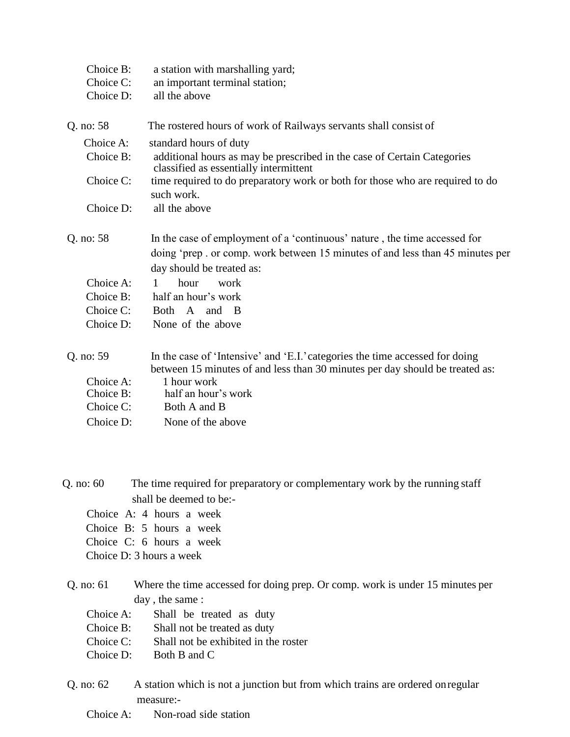| Choice B:<br>Choice C:<br>Choice D: | a station with marshalling yard;<br>an important terminal station;<br>all the above                                                                                                     |
|-------------------------------------|-----------------------------------------------------------------------------------------------------------------------------------------------------------------------------------------|
| Q. no: 58                           | The rostered hours of work of Railways servants shall consist of                                                                                                                        |
| Choice A:                           | standard hours of duty                                                                                                                                                                  |
| Choice B:                           | additional hours as may be prescribed in the case of Certain Categories<br>classified as essentially intermittent                                                                       |
| Choice C:                           | time required to do preparatory work or both for those who are required to do<br>such work.                                                                                             |
| Choice D:                           | all the above                                                                                                                                                                           |
| Q. no: 58                           | In the case of employment of a 'continuous' nature, the time accessed for<br>doing 'prep. or comp. work between 15 minutes of and less than 45 minutes per<br>day should be treated as: |
| Choice A:                           | hour<br>$\mathbf{1}$<br>work                                                                                                                                                            |
| Choice B:                           | half an hour's work                                                                                                                                                                     |
| Choice C:                           | Both A and B                                                                                                                                                                            |
| Choice D:                           | None of the above                                                                                                                                                                       |
| Q. no: 59                           | In the case of 'Intensive' and 'E.I.' categories the time accessed for doing<br>between 15 minutes of and less than 30 minutes per day should be treated as:                            |
| Choice A:                           | 1 hour work                                                                                                                                                                             |
| Choice B:                           | half an hour's work                                                                                                                                                                     |
| Choice C:                           | Both A and B                                                                                                                                                                            |
| Choice D:                           | None of the above                                                                                                                                                                       |

Q. no: 60 The time required for preparatory or complementary work by the running staff shall be deemed to be:-

- Choice A: 4 hours a week
- Choice B: 5 hours a week
- Choice C: 6 hours a week
- Choice D: 3 hours a week
- Q. no: 61 Where the time accessed for doing prep. Or comp. work is under 15 minutes per day , the same :
	- Choice A: Shall be treated as duty
	- Choice B: Shall not be treated as duty
	- Choice C: Shall not be exhibited in the roster
	- Choice D: Both B and C
- Q. no: 62 A station which is not a junction but from which trains are ordered onregular measure:-
	- Choice A: Non-road side station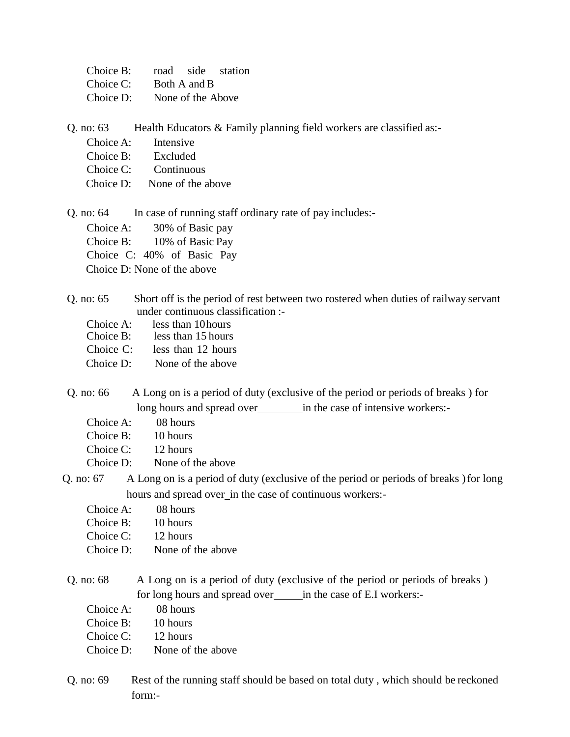| Choice B: |                   | road side station |
|-----------|-------------------|-------------------|
| Choice C: | Both A and B      |                   |
| Choice D: | None of the Above |                   |

Q. no:  $63$  Health Educators  $\&$  Family planning field workers are classified as:-

- Choice A: Intensive
- Choice B: Excluded
- Choice C: Continuous
- Choice D: None of the above

Q. no: 64 In case of running staff ordinary rate of pay includes:-

Choice A: 30% of Basic pay

Choice B: 10% of Basic Pay

Choice C: 40% of Basic Pay

Choice D: None of the above

## Q. no: 65 Short off is the period of rest between two rostered when duties of railway servant under continuous classification :-

- Choice A: less than 10 hours<br>Choice B: less than 15 hours
- less than 15 hours
- Choice C: less than 12 hours
- Choice D: None of the above
- Q. no: 66 A Long on is a period of duty (exclusive of the period or periods of breaks ) for long hours and spread over in the case of intensive workers:-
	- Choice A: 08 hours
	- Choice B: 10 hours

Choice C: 12 hours

- Choice D: None of the above
- Q. no: 67 A Long on is a period of duty (exclusive of the period or periods of breaks )for long hours and spread over\_in the case of continuous workers:-
	- Choice A: 08 hours
	- Choice B: 10 hours
	- Choice C: 12 hours
	- Choice D: None of the above
- Q. no: 68 A Long on is a period of duty (exclusive of the period or periods of breaks ) for long hours and spread over in the case of E.I workers:-
	- Choice A: 08 hours
	- Choice B: 10 hours
	- Choice C: 12 hours
	- Choice D: None of the above
- Q. no: 69 Rest of the running staff should be based on total duty , which should be reckoned form:-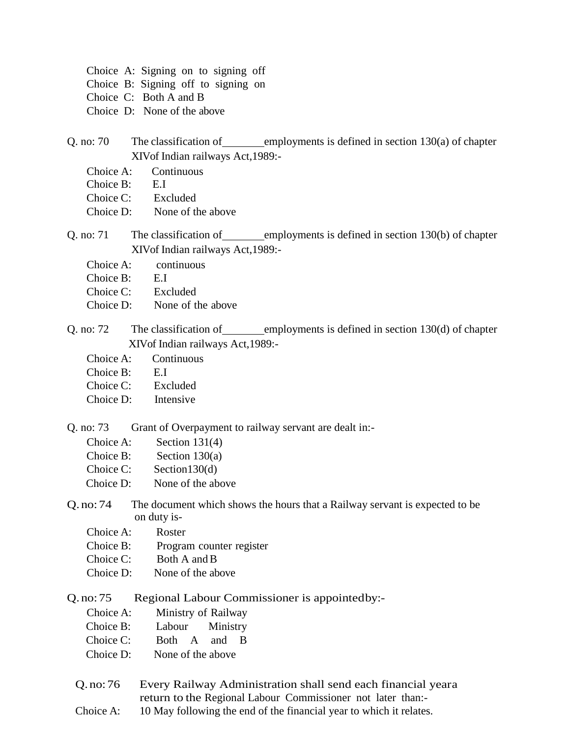|  | Choice A: Signing on to signing off |  |  |
|--|-------------------------------------|--|--|
|  | Choice B: Signing off to signing on |  |  |
|  | Choice C: Both A and B              |  |  |

- Choice D: None of the above
- Q. no: 70 The classification of employments is defined in section  $130(a)$  of chapter XIVof Indian railways Act,1989:-
	- Choice A: Continuous
	- Choice B: E.I
	- Choice C: Excluded
	- Choice D: None of the above
- Q. no: 71 The classification of employments is defined in section  $130(b)$  of chapter XIVof Indian railways Act,1989:-
	- Choice A: continuous
	- Choice B: E.I
	- Choice C: Excluded
	- Choice D: None of the above
- Q. no:  $72$  The classification of employments is defined in section 130(d) of chapter XIVof Indian railways Act,1989:-
	- Choice A: Continuous
	- Choice B: E.I
	- Choice C: Excluded
	- Choice D: Intensive

Q. no: 73 Grant of Overpayment to railway servant are dealt in:-

| Choice A: | Section $131(4)$  |
|-----------|-------------------|
| Choice B: | Section $130(a)$  |
| Choice C: | Section $130(d)$  |
| Choice D: | None of the above |

- Q.no:74 The document which shows the hours that a Railway servant is expected to be on duty is-
	- Choice A: Roster
	- Choice B: Program counter register
	- Choice C: Both A and B
	- Choice D: None of the above

Q.no:75 Regional Labour Commissioner is appointedby:-

- Choice A: Ministry of Railway
- Choice B: Labour Ministry
- Choice C: Both A and B
- Choice D: None of the above
- Q.no:76 Every Railway Administration shall send each financial yeara return to the Regional Labour Commissioner not later than:-
- Choice A: 10 May following the end of the financial year to which it relates.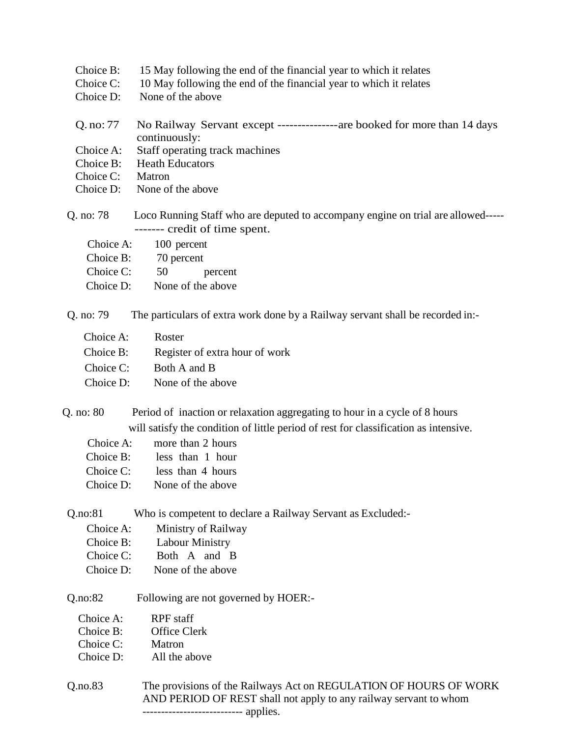| Choice B: | 15 May following the end of the financial year to which it relates                   |
|-----------|--------------------------------------------------------------------------------------|
| Choice C: | 10 May following the end of the financial year to which it relates                   |
| Choice D: | None of the above                                                                    |
|           |                                                                                      |
| Q. no: 77 | No Railway Servant except ------------------- are booked for more than 14 days       |
|           | continuously:                                                                        |
| Choice A: | Staff operating track machines                                                       |
| Choice B: | <b>Heath Educators</b>                                                               |
| Choice C: | Matron                                                                               |
| Choice D: | None of the above                                                                    |
| Q. no: 78 | Loco Running Staff who are deputed to accompany engine on trial are allowed-----     |
|           | ------- credit of time spent.                                                        |
| Choice A: | 100 percent                                                                          |
| Choice B: | 70 percent                                                                           |
| Choice C: | 50<br>percent                                                                        |
| Choice D: | None of the above                                                                    |
|           |                                                                                      |
| Q. no: 79 | The particulars of extra work done by a Railway servant shall be recorded in:-       |
| Choice A: | Roster                                                                               |
| Choice B: | Register of extra hour of work                                                       |
| Choice C: | Both A and B                                                                         |
| Choice D: | None of the above                                                                    |
|           | Q. no: 80 Period of inaction or relaxation aggregating to hour in a cycle of 8 hours |
|           |                                                                                      |
|           | will satisfy the condition of little period of rest for classification as intensive. |
| Choice A: | more than 2 hours                                                                    |
| Choice B: | less than 1 hour                                                                     |
| Choice C: | less than 4 hours                                                                    |
| Choice D: | None of the above                                                                    |
| Q.no:81   | Who is competent to declare a Railway Servant as Excluded:-                          |
| Choice A: | Ministry of Railway                                                                  |
| Choice B: | Labour Ministry                                                                      |

- Choice C: Both A and B
- Choice D: None of the above

Q.no:82 Following are not governed by HOER:-

| Choice A: | RPF staff |
|-----------|-----------|
|-----------|-----------|

- Choice B: Office Clerk
- Choice C: Matron
- Choice D: All the above
- Q.no.83 The provisions of the Railways Act on REGULATION OF HOURS OF WORK AND PERIOD OF REST shall not apply to any railway servant to whom --------------------------- applies.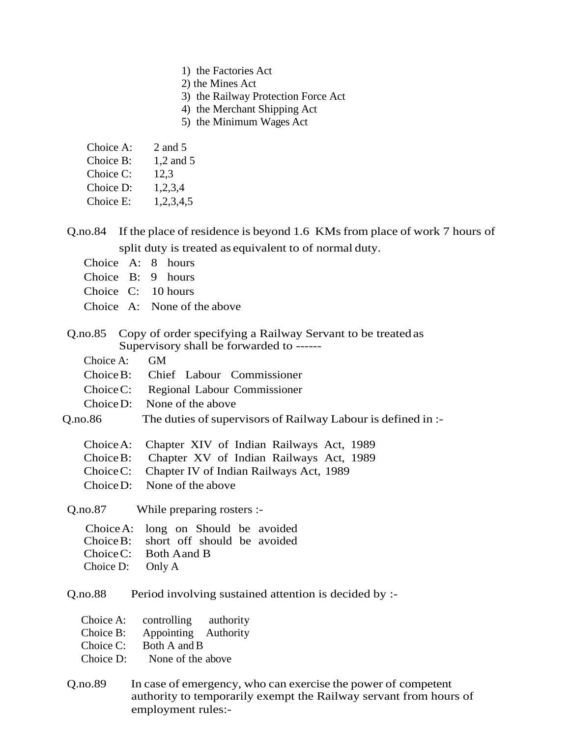- 1) the Factories Act
- 2) the Mines Act
- 3) the Railway Protection Force Act
- 4) the Merchant Shipping Act
- 5) the Minimum Wages Act

| Choice A: | $2$ and $5$ |  |
|-----------|-------------|--|
|-----------|-------------|--|

- Choice B: 1,2 and 5
- Choice C: 12,3
- Choice D: 1,2,3,4
- Choice E: 1,2,3,4,5
- Q.no.84 If the place of residence is beyond 1.6 KMs from place of work 7 hours of split duty is treated as equivalent to of normal duty.
	- Choice A: 8 hours
	- Choice B: 9 hours
	- Choice C: 10 hours
	- Choice A: None of the above
- Q.no.85 Copy of order specifying a Railway Servant to be treated as Supervisory shall be forwarded to ------
	- Choice A: GM
	- ChoiceB: Chief Labour Commissioner
	- ChoiceC: Regional Labour Commissioner
	- ChoiceD: None of the above
- Q.no.86 The duties of supervisors of Railway Labour is defined in :-
	- ChoiceA: Chapter XIV of Indian Railways Act, 1989
	- ChoiceB: Chapter XV of Indian Railways Act, 1989
	- ChoiceC: Chapter IV of Indian Railways Act, 1989
	- ChoiceD: None of the above

Q.no.87 While preparing rosters :-

|                  | Choice A: long on Should be avoided   |  |
|------------------|---------------------------------------|--|
|                  | Choice B: short off should be avoided |  |
|                  | Choice C: Both A and B                |  |
| Choice D: Only A |                                       |  |

Q.no.88 Period involving sustained attention is decided by :-

| Choice A: | controlling | authority |
|-----------|-------------|-----------|
|-----------|-------------|-----------|

- Choice B: Appointing Authority
- Choice C: Both A and B
- Choice D: None of the above
- Q.no.89 In case of emergency, who can exercise the power of competent authority to temporarily exempt the Railway servant from hours of employment rules:-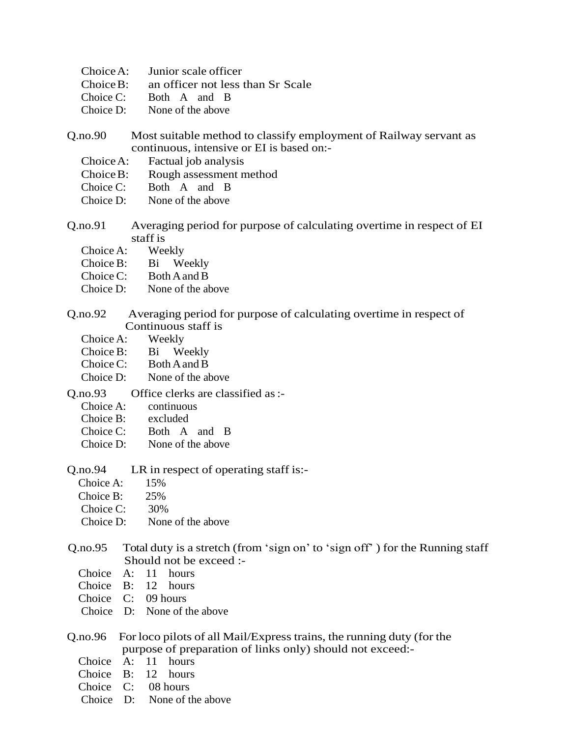- ChoiceA: Junior scale officer
- ChoiceB: an officer not less than Sr Scale
- Choice C: Both A and B
- Choice D: None of the above
- Q.no.90 Most suitable method to classify employment of Railway servant as continuous, intensive or EI is based on:-
	- ChoiceA: Factual job analysis
	- ChoiceB: Rough assessment method
	- Choice C: Both A and B
	- Choice D: None of the above
- Q.no.91 Averaging period for purpose of calculating overtime in respect of EI staff is<br>Weekly
	- Choice A:
	- Choice B: Bi Weekly
	- Choice C: Both A and B
	- Choice D: None of the above
- Q.no.92 Averaging period for purpose of calculating overtime in respect of Continuous staff is
	- Choice A: Weekly
	- Choice B: Bi Weekly
	- Choice C: Both A and B
	- Choice D: None of the above
- Q.no.93 Office clerks are classified as:-
	- Choice A: continuous
	- Choice B: excluded
	- Choice C: Both A and B
	- Choice D: None of the above
- Q.no.94 LR in respect of operating staff is:-
	- Choice A: 15%
	- Choice B: 25%
	- Choice C: 30%
	- Choice D: None of the above
- Q.no.95 Total duty is a stretch (from 'sign on' to 'sign off' ) for the Running staff Should not be exceed :-
	- Choice A: 11 hours
	- Choice B: 12 hours
	- Choice C: 09 hours
	- Choice D: None of the above
- Q.no.96 For loco pilots of all Mail/Express trains, the running duty (for the purpose of preparation of links only) should not exceed:-
	- Choice A: 11 hours
	- Choice B: 12 hours
	- Choice C: 08 hours
	- Choice D: None of the above